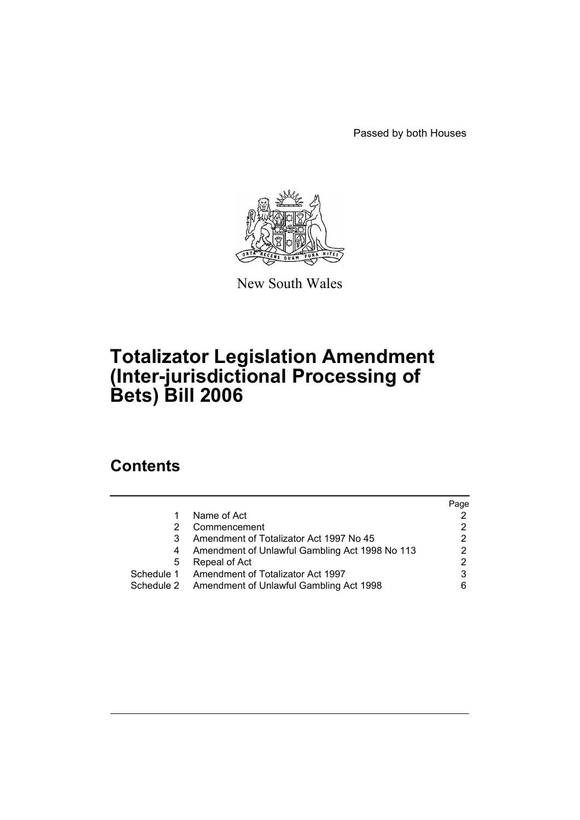Passed by both Houses



New South Wales

# **Totalizator Legislation Amendment (Inter-jurisdictional Processing of Bets) Bill 2006**

## **Contents**

|            |                                                | Page |
|------------|------------------------------------------------|------|
|            | Name of Act                                    |      |
|            | Commencement                                   |      |
|            | Amendment of Totalizator Act 1997 No 45        | 2    |
|            | Amendment of Unlawful Gambling Act 1998 No 113 |      |
| 5          | Repeal of Act                                  | 2    |
|            | Schedule 1 Amendment of Totalizator Act 1997   | 3    |
| Schedule 2 | Amendment of Unlawful Gambling Act 1998        | 6    |
|            |                                                |      |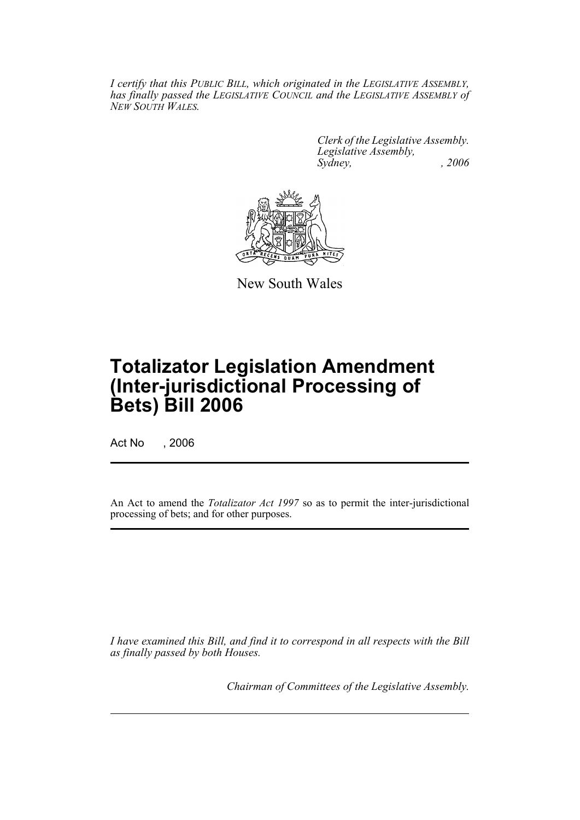*I certify that this PUBLIC BILL, which originated in the LEGISLATIVE ASSEMBLY, has finally passed the LEGISLATIVE COUNCIL and the LEGISLATIVE ASSEMBLY of NEW SOUTH WALES.*

> *Clerk of the Legislative Assembly. Legislative Assembly, Sydney, , 2006*



New South Wales

# **Totalizator Legislation Amendment (Inter-jurisdictional Processing of Bets) Bill 2006**

Act No , 2006

An Act to amend the *Totalizator Act 1997* so as to permit the inter-jurisdictional processing of bets; and for other purposes.

*I have examined this Bill, and find it to correspond in all respects with the Bill as finally passed by both Houses.*

*Chairman of Committees of the Legislative Assembly.*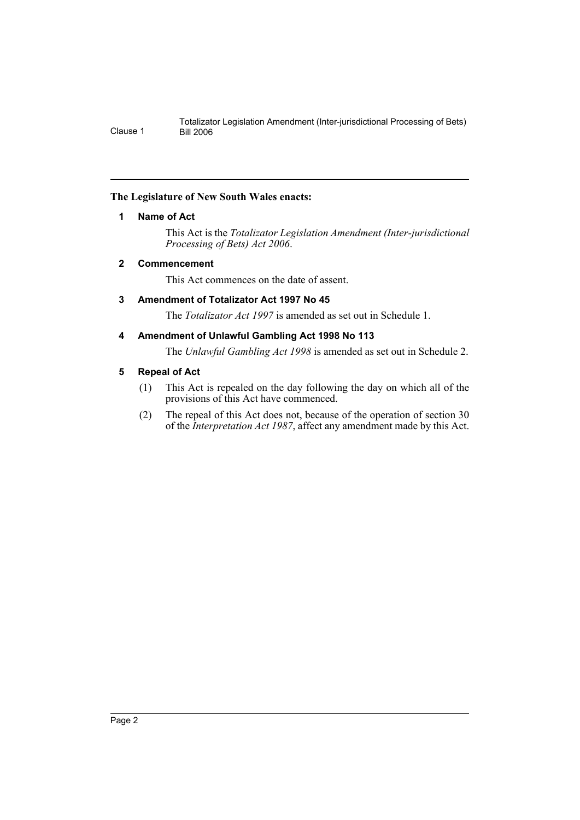### **The Legislature of New South Wales enacts:**

### **1 Name of Act**

This Act is the *Totalizator Legislation Amendment (Inter-jurisdictional Processing of Bets) Act 2006*.

### **2 Commencement**

This Act commences on the date of assent.

### **3 Amendment of Totalizator Act 1997 No 45**

The *Totalizator Act 1997* is amended as set out in Schedule 1.

### **4 Amendment of Unlawful Gambling Act 1998 No 113**

The *Unlawful Gambling Act 1998* is amended as set out in Schedule 2.

### **5 Repeal of Act**

- (1) This Act is repealed on the day following the day on which all of the provisions of this Act have commenced.
- (2) The repeal of this Act does not, because of the operation of section 30 of the *Interpretation Act 1987*, affect any amendment made by this Act.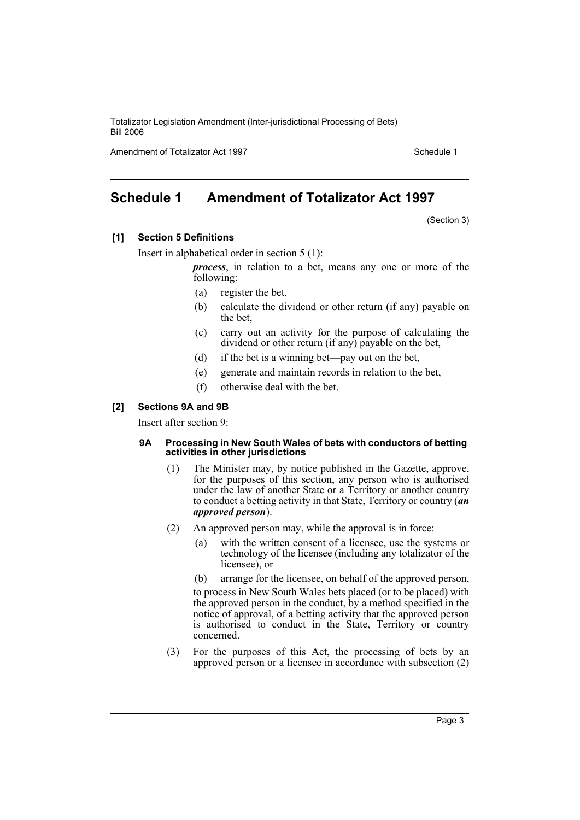Amendment of Totalizator Act 1997 Schedule 1

### **Schedule 1 Amendment of Totalizator Act 1997**

(Section 3)

**[1] Section 5 Definitions**

Insert in alphabetical order in section 5 (1):

*process*, in relation to a bet, means any one or more of the following:

- (a) register the bet,
- (b) calculate the dividend or other return (if any) payable on the bet,
- (c) carry out an activity for the purpose of calculating the dividend or other return (if any) payable on the bet,
- (d) if the bet is a winning bet—pay out on the bet,
- (e) generate and maintain records in relation to the bet,
- (f) otherwise deal with the bet.

### **[2] Sections 9A and 9B**

Insert after section 9:

#### **9A Processing in New South Wales of bets with conductors of betting activities in other jurisdictions**

- (1) The Minister may, by notice published in the Gazette, approve, for the purposes of this section, any person who is authorised under the law of another State or a Territory or another country to conduct a betting activity in that State, Territory or country (*an approved person*).
- (2) An approved person may, while the approval is in force:
	- (a) with the written consent of a licensee, use the systems or technology of the licensee (including any totalizator of the licensee), or
	- (b) arrange for the licensee, on behalf of the approved person,

to process in New South Wales bets placed (or to be placed) with the approved person in the conduct, by a method specified in the notice of approval, of a betting activity that the approved person is authorised to conduct in the State, Territory or country concerned.

(3) For the purposes of this Act, the processing of bets by an approved person or a licensee in accordance with subsection (2)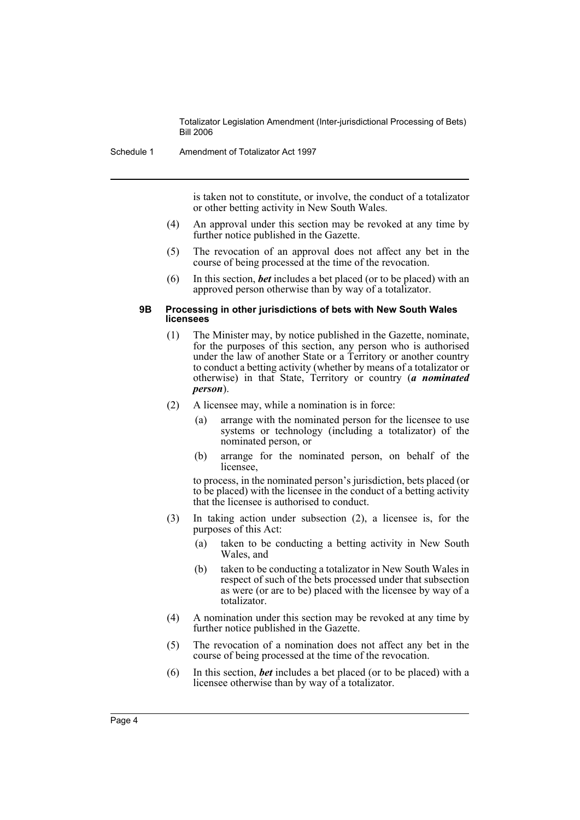Schedule 1 Amendment of Totalizator Act 1997

is taken not to constitute, or involve, the conduct of a totalizator or other betting activity in New South Wales.

- (4) An approval under this section may be revoked at any time by further notice published in the Gazette.
- (5) The revocation of an approval does not affect any bet in the course of being processed at the time of the revocation.
- (6) In this section, *bet* includes a bet placed (or to be placed) with an approved person otherwise than by way of a totalizator.

#### **9B Processing in other jurisdictions of bets with New South Wales licensees**

- (1) The Minister may, by notice published in the Gazette, nominate, for the purposes of this section, any person who is authorised under the law of another State or a Territory or another country to conduct a betting activity (whether by means of a totalizator or otherwise) in that State, Territory or country (*a nominated person*).
- (2) A licensee may, while a nomination is in force:
	- (a) arrange with the nominated person for the licensee to use systems or technology (including a totalizator) of the nominated person, or
	- (b) arrange for the nominated person, on behalf of the licensee.

to process, in the nominated person's jurisdiction, bets placed (or to be placed) with the licensee in the conduct of a betting activity that the licensee is authorised to conduct.

- (3) In taking action under subsection (2), a licensee is, for the purposes of this Act:
	- (a) taken to be conducting a betting activity in New South Wales, and
	- (b) taken to be conducting a totalizator in New South Wales in respect of such of the bets processed under that subsection as were (or are to be) placed with the licensee by way of a totalizator.
- (4) A nomination under this section may be revoked at any time by further notice published in the Gazette.
- (5) The revocation of a nomination does not affect any bet in the course of being processed at the time of the revocation.
- (6) In this section, *bet* includes a bet placed (or to be placed) with a licensee otherwise than by way of a totalizator.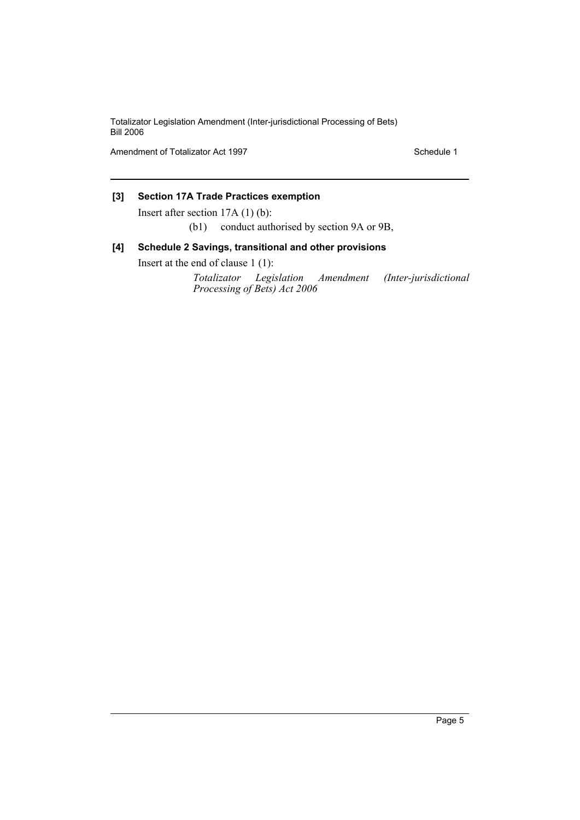Amendment of Totalizator Act 1997 Schedule 1

### **[3] Section 17A Trade Practices exemption**

Insert after section 17A (1) (b):

(b1) conduct authorised by section 9A or 9B,

### **[4] Schedule 2 Savings, transitional and other provisions**

Insert at the end of clause 1 (1):

*Totalizator Legislation Amendment (Inter-jurisdictional Processing of Bets) Act 2006*